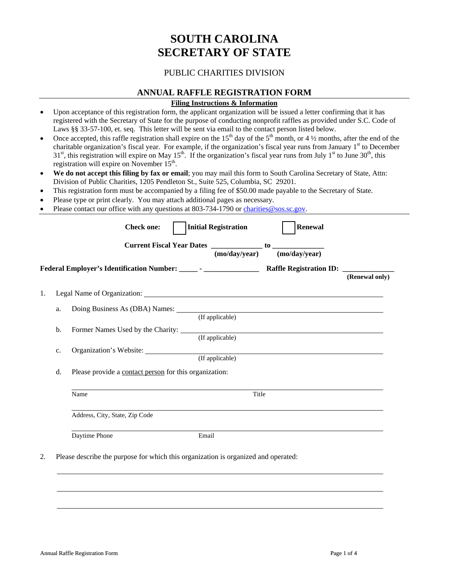# **SOUTH CAROLINA SECRETARY OF STATE**

# PUBLIC CHARITIES DIVISION

## **ANNUAL RAFFLE REGISTRATION FORM**

### **Filing Instructions & Information**

- Upon acceptance of this registration form, the applicant organization will be issued a letter confirming that it has registered with the Secretary of State for the purpose of conducting nonprofit raffles as provided under S.C. Code of Laws §§ 33-57-100, et. seq. This letter will be sent via email to the contact person listed below.
- Once accepted, this raffle registration shall expire on the  $15<sup>th</sup>$  day of the  $5<sup>th</sup>$  month, or 4  $\frac{1}{2}$  months, after the end of the charitable organization's fiscal year. For example, if the organization's fiscal year runs from January  $1<sup>st</sup>$  to December  $31<sup>st</sup>$ , this registration will expire on May  $15<sup>th</sup>$ . If the organization's fiscal year runs from July  $1<sup>st</sup>$  to June  $30<sup>th</sup>$ , this registration will expire on November  $15<sup>th</sup>$ .
- **We do not accept this filing by fax or email**; you may mail this form to South Carolina Secretary of State, Attn: Division of Public Charities, 1205 Pendleton St., Suite 525, Columbia, SC 29201.
- This registration form must be accompanied by a filing fee of \$50.00 made payable to the Secretary of State.
- Please type or print clearly. You may attach additional pages as necessary.
- Please contact our office with any questions at 803-734-1790 or charities@sos.sc.gov.

|    |    |                                                                                                                                                                                                                               | (mo/day/year)   | (mo/day/year) |                |
|----|----|-------------------------------------------------------------------------------------------------------------------------------------------------------------------------------------------------------------------------------|-----------------|---------------|----------------|
|    |    |                                                                                                                                                                                                                               |                 |               | (Renewal only) |
| 1. |    | Legal Name of Organization: New York 2014 19:30 August 2014 12:30 August 2014 12:30 August 2014 12:30 August 2014 12:30 August 2014 12:30 August 2014 12:30 August 2014 12:30 August 2014 12:30 August 2014 12:30 August 2014 |                 |               |                |
|    | a. |                                                                                                                                                                                                                               | (If applicable) |               |                |
|    | b. |                                                                                                                                                                                                                               | (If applicable) |               |                |
|    | c. |                                                                                                                                                                                                                               | (If applicable) |               |                |
|    | d. | Please provide a contact person for this organization:                                                                                                                                                                        |                 |               |                |
|    |    | Name                                                                                                                                                                                                                          | Title           |               |                |
|    |    | Address, City, State, Zip Code                                                                                                                                                                                                |                 |               |                |
|    |    | Daytime Phone                                                                                                                                                                                                                 | Email           |               |                |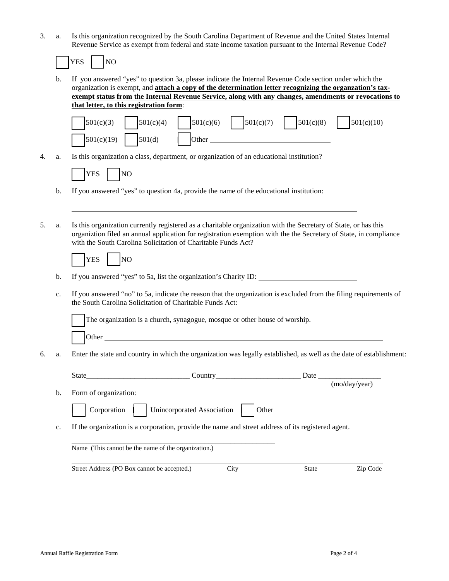3. a. Is this organization recognized by the South Carolina Department of Revenue and the United States Internal Revenue Service as exempt from federal and state income taxation pursuant to the Internal Revenue Code?

|    |                                                                                                          | NO<br>YES                                                                                                                                                                                                                                                                                                                                                                       |  |  |  |  |
|----|----------------------------------------------------------------------------------------------------------|---------------------------------------------------------------------------------------------------------------------------------------------------------------------------------------------------------------------------------------------------------------------------------------------------------------------------------------------------------------------------------|--|--|--|--|
|    | b.                                                                                                       | If you answered "yes" to question 3a, please indicate the Internal Revenue Code section under which the<br>organization is exempt, and <b>attach a copy of the determination letter recognizing the organization's tax-</b><br>exempt status from the Internal Revenue Service, along with any changes, amendments or revocations to<br>that letter, to this registration form: |  |  |  |  |
|    |                                                                                                          | $501(c)(6)$   $501(c)(7)$<br> 501(c)(8)<br>501(c)(10)<br>501(c)(3)<br>501(c)(4)<br>501(c)(19)<br>501(d)                                                                                                                                                                                                                                                                         |  |  |  |  |
| 4. | a.                                                                                                       | Is this organization a class, department, or organization of an educational institution?<br><b>YES</b><br>$\overline{NQ}$                                                                                                                                                                                                                                                       |  |  |  |  |
|    | b.                                                                                                       | If you answered "yes" to question 4a, provide the name of the educational institution:                                                                                                                                                                                                                                                                                          |  |  |  |  |
| 5. | a.                                                                                                       | Is this organization currently registered as a charitable organization with the Secretary of State, or has this<br>organiztion filed an annual application for registration exemption with the the Secretary of State, in compliance<br>with the South Carolina Solicitation of Charitable Funds Act?                                                                           |  |  |  |  |
|    |                                                                                                          | NO<br><b>YES</b>                                                                                                                                                                                                                                                                                                                                                                |  |  |  |  |
|    | b.                                                                                                       | If you answered "yes" to 5a, list the organization's Charity ID:                                                                                                                                                                                                                                                                                                                |  |  |  |  |
|    | c.                                                                                                       | If you answered "no" to 5a, indicate the reason that the organization is excluded from the filing requirements of<br>the South Carolina Solicitation of Charitable Funds Act:                                                                                                                                                                                                   |  |  |  |  |
|    |                                                                                                          | The organization is a church, synagogue, mosque or other house of worship.<br>Other                                                                                                                                                                                                                                                                                             |  |  |  |  |
| 6. | a.                                                                                                       | Enter the state and country in which the organization was legally established, as well as the date of establishment:                                                                                                                                                                                                                                                            |  |  |  |  |
|    |                                                                                                          | <b>State</b><br>Date<br>Country                                                                                                                                                                                                                                                                                                                                                 |  |  |  |  |
|    | b.                                                                                                       | (mo/day/year)<br>Form of organization:                                                                                                                                                                                                                                                                                                                                          |  |  |  |  |
|    |                                                                                                          | Corporation<br>Unincorporated Association<br>Other                                                                                                                                                                                                                                                                                                                              |  |  |  |  |
|    | If the organization is a corporation, provide the name and street address of its registered agent.<br>c. |                                                                                                                                                                                                                                                                                                                                                                                 |  |  |  |  |
|    |                                                                                                          | Name (This cannot be the name of the organization.)                                                                                                                                                                                                                                                                                                                             |  |  |  |  |
|    |                                                                                                          | Zip Code<br>Street Address (PO Box cannot be accepted.)<br>City<br><b>State</b>                                                                                                                                                                                                                                                                                                 |  |  |  |  |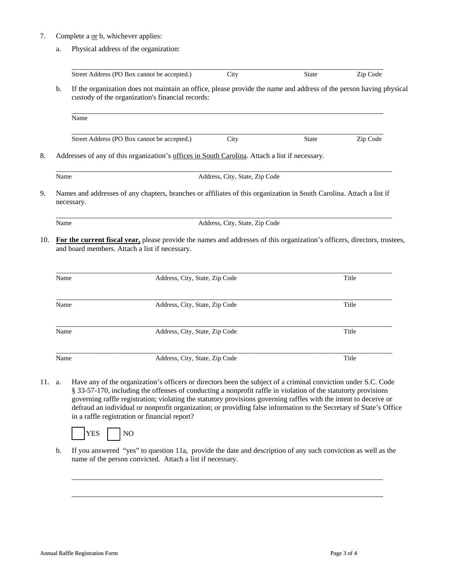- 7. Complete a <u>or</u> b, whichever applies:
	- a. Physical address of the organization:

|                      | Street Address (PO Box cannot be accepted.)                                                                                                                            | City                           | <b>State</b> | Zip Code |  |  |  |
|----------------------|------------------------------------------------------------------------------------------------------------------------------------------------------------------------|--------------------------------|--------------|----------|--|--|--|
| b.                   | If the organization does not maintain an office, please provide the name and address of the person having physical<br>custody of the organization's financial records: |                                |              |          |  |  |  |
|                      | Name                                                                                                                                                                   |                                |              |          |  |  |  |
|                      | Street Address (PO Box cannot be accepted.)                                                                                                                            | City                           | <b>State</b> | Zip Code |  |  |  |
|                      | Addresses of any of this organization's offices in South Carolina. Attach a list if necessary.                                                                         |                                |              |          |  |  |  |
| Name                 |                                                                                                                                                                        | Address, City, State, Zip Code |              |          |  |  |  |
|                      |                                                                                                                                                                        |                                |              |          |  |  |  |
|                      | Names and addresses of any chapters, branches or affiliates of this organization in South Carolina. Attach a list if<br>necessary.                                     |                                |              |          |  |  |  |
|                      |                                                                                                                                                                        | Address, City, State, Zip Code |              |          |  |  |  |
|                      | For the current fiscal year, please provide the names and addresses of this organization's officers, directors, trustees,                                              |                                |              |          |  |  |  |
|                      | and board members. Attach a list if necessary.                                                                                                                         |                                |              |          |  |  |  |
|                      | Address, City, State, Zip Code                                                                                                                                         |                                |              | Title    |  |  |  |
| Name<br>Name<br>Name | Address, City, State, Zip Code                                                                                                                                         |                                |              | Title    |  |  |  |
| Name                 | Address, City, State, Zip Code                                                                                                                                         |                                |              | Title    |  |  |  |

11. a. Have any of the organization's officers or directors been the subject of a criminal conviction under S.C. Code § 33-57-170, including the offenses of conducting a nonprofit raffle in violation of the statutorty provisions governing raffle registration; violating the statutory provisions governing raffles with the intent to deceive or defraud an individual or nonprofit organization; or providing false information to the Secretary of State's Office in a raffle registration or financial report?



 b. If you answered "yes" to question 11a, provide the date and description of any such conviction as well as the name of the person convicted. Attach a list if necessary.